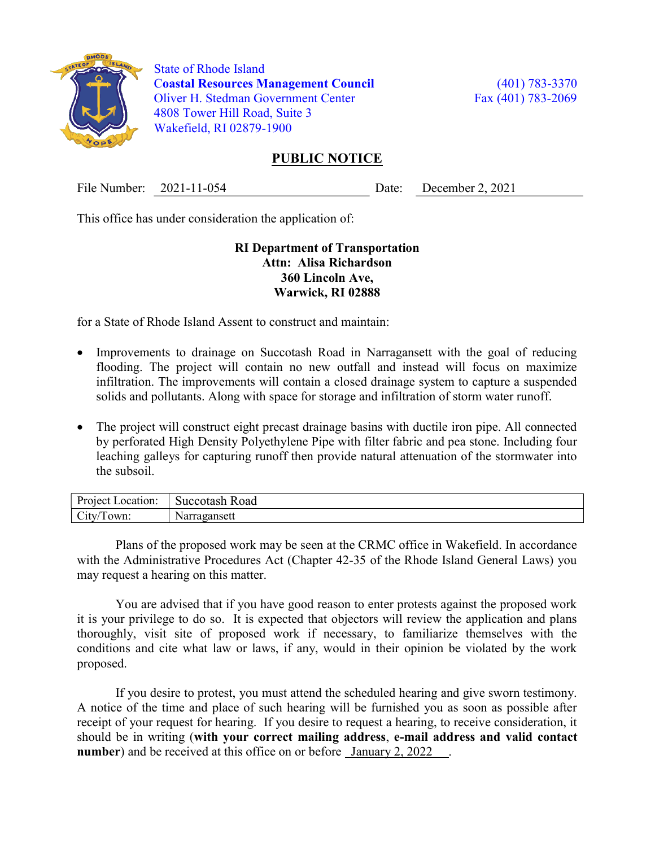

 State of Rhode Island Coastal Resources Management Council (401) 783-3370 Oliver H. Stedman Government Center Fax (401) 783-2069 4808 Tower Hill Road, Suite 3 Wakefield, RI 02879-1900

## PUBLIC NOTICE

File Number: 2021-11-054 Date: December 2, 2021

This office has under consideration the application of:

## RI Department of Transportation Attn: Alisa Richardson 360 Lincoln Ave, Warwick, RI 02888

for a State of Rhode Island Assent to construct and maintain:

- Improvements to drainage on Succotash Road in Narragansett with the goal of reducing flooding. The project will contain no new outfall and instead will focus on maximize infiltration. The improvements will contain a closed drainage system to capture a suspended solids and pollutants. Along with space for storage and infiltration of storm water runoff.
- The project will construct eight precast drainage basins with ductile iron pipe. All connected by perforated High Density Polyethylene Pipe with filter fabric and pea stone. Including four leaching galleys for capturing runoff then provide natural attenuation of the stormwater into the subsoil.

| Project<br>ocation:_       | -<br>succotash<br>$\alpha$<br>7ac |
|----------------------------|-----------------------------------|
| $\sim$ .<br>own:<br>$\sim$ | 1ae<br>Na.<br>ansuu               |

Plans of the proposed work may be seen at the CRMC office in Wakefield. In accordance with the Administrative Procedures Act (Chapter 42-35 of the Rhode Island General Laws) you may request a hearing on this matter.

You are advised that if you have good reason to enter protests against the proposed work it is your privilege to do so. It is expected that objectors will review the application and plans thoroughly, visit site of proposed work if necessary, to familiarize themselves with the conditions and cite what law or laws, if any, would in their opinion be violated by the work proposed.

If you desire to protest, you must attend the scheduled hearing and give sworn testimony. A notice of the time and place of such hearing will be furnished you as soon as possible after receipt of your request for hearing. If you desire to request a hearing, to receive consideration, it should be in writing (with your correct mailing address, e-mail address and valid contact number) and be received at this office on or before <u>January 2, 2022</u>.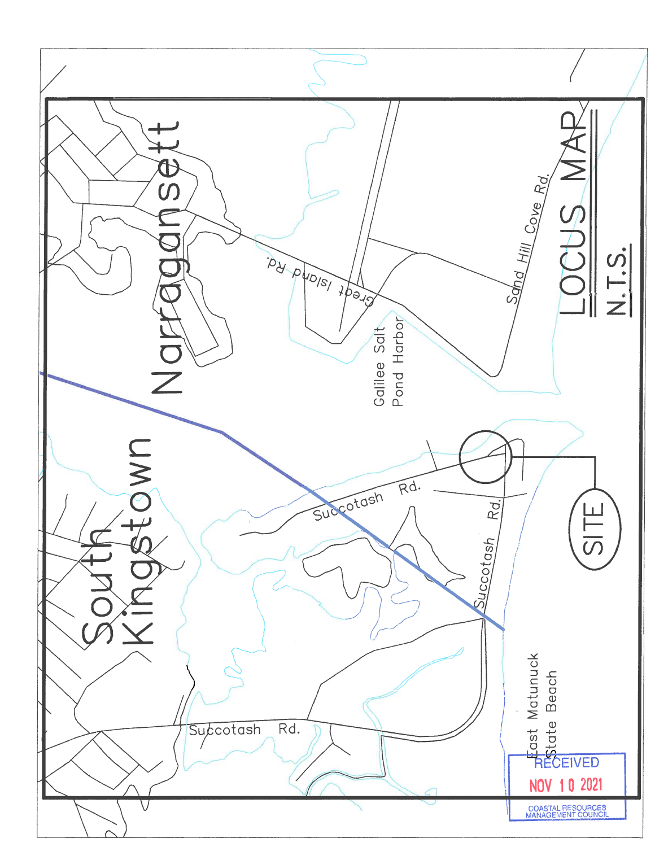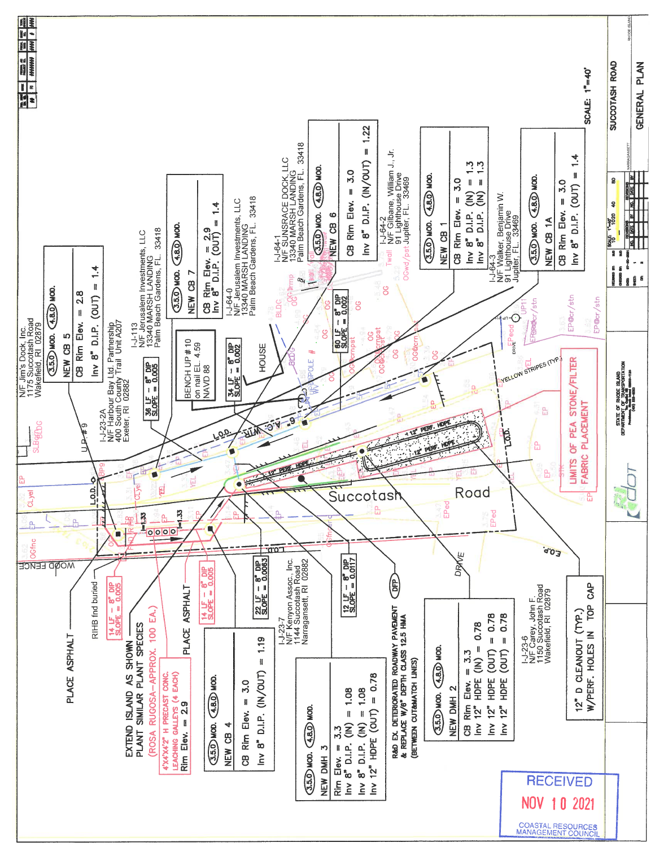